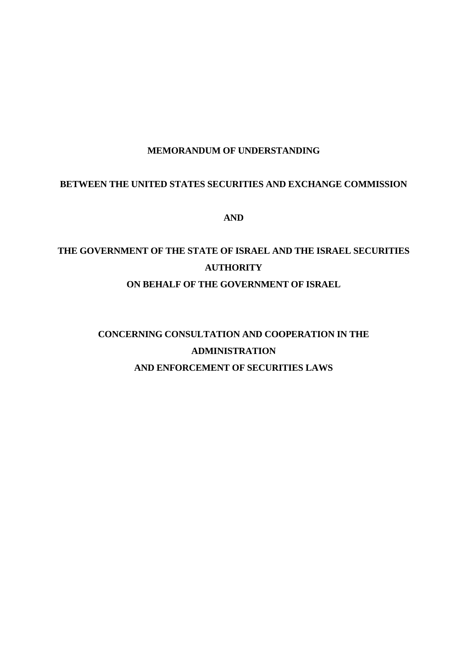## **MEMORANDUM OF UNDERSTANDING**

## **BETWEEN THE UNITED STATES SECURITIES AND EXCHANGE COMMISSION**

**AND**

# **THE GOVERNMENT OF THE STATE OF ISRAEL AND THE ISRAEL SECURITIES AUTHORITY ON BEHALF OF THE GOVERNMENT OF ISRAEL**

# **CONCERNING CONSULTATION AND COOPERATION IN THE ADMINISTRATION AND ENFORCEMENT OF SECURITIES LAWS**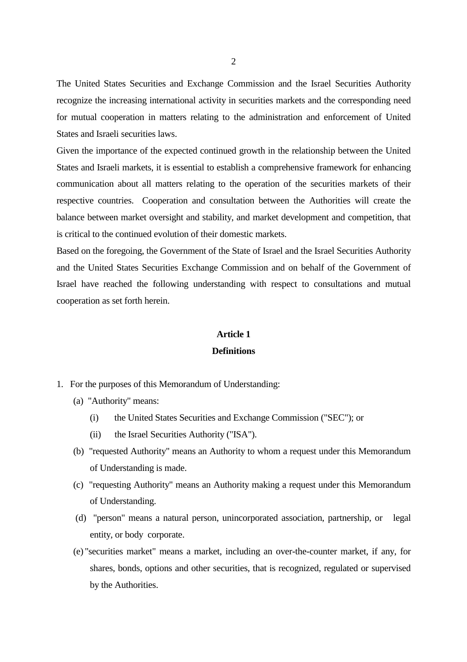The United States Securities and Exchange Commission and the Israel Securities Authority recognize the increasing international activity in securities markets and the corresponding need for mutual cooperation in matters relating to the administration and enforcement of United States and Israeli securities laws.

Given the importance of the expected continued growth in the relationship between the United States and Israeli markets, it is essential to establish a comprehensive framework for enhancing communication about all matters relating to the operation of the securities markets of their respective countries. Cooperation and consultation between the Authorities will create the balance between market oversight and stability, and market development and competition, that is critical to the continued evolution of their domestic markets.

Based on the foregoing, the Government of the State of Israel and the Israel Securities Authority and the United States Securities Exchange Commission and on behalf of the Government of Israel have reached the following understanding with respect to consultations and mutual cooperation as set forth herein.

#### **Article 1**

#### **Definitions**

- 1. For the purposes of this Memorandum of Understanding:
	- (a) "Authority" means:
		- (i) the United States Securities and Exchange Commission ("SEC"); or
		- (ii) the Israel Securities Authority ("ISA").
	- (b) "requested Authority" means an Authority to whom a request under this Memorandum of Understanding is made.
	- (c) "requesting Authority" means an Authority making a request under this Memorandum of Understanding.
	- (d) "person" means a natural person, unincorporated association, partnership, or legal entity, or body corporate.
	- (e) "securities market" means a market, including an over-the-counter market, if any, for shares, bonds, options and other securities, that is recognized, regulated or supervised by the Authorities.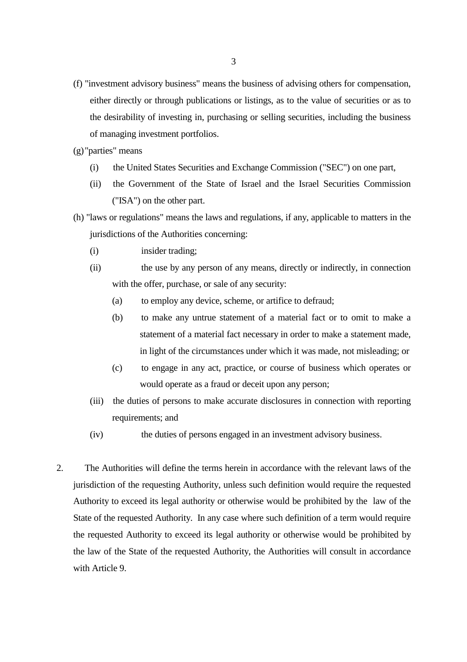- (f) "investment advisory business" means the business of advising others for compensation, either directly or through publications or listings, as to the value of securities or as to the desirability of investing in, purchasing or selling securities, including the business of managing investment portfolios.
- (g)"parties" means
	- (i) the United States Securities and Exchange Commission ("SEC") on one part,
	- (ii) the Government of the State of Israel and the Israel Securities Commission ("ISA") on the other part.
- (h) "laws or regulations" means the laws and regulations, if any, applicable to matters in the jurisdictions of the Authorities concerning:
	- (i) insider trading;
	- (ii) the use by any person of any means, directly or indirectly, in connection with the offer, purchase, or sale of any security:
		- (a) to employ any device, scheme, or artifice to defraud;
		- (b) to make any untrue statement of a material fact or to omit to make a statement of a material fact necessary in order to make a statement made, in light of the circumstances under which it was made, not misleading; or
		- (c) to engage in any act, practice, or course of business which operates or would operate as a fraud or deceit upon any person;
	- (iii) the duties of persons to make accurate disclosures in connection with reporting requirements; and
	- (iv) the duties of persons engaged in an investment advisory business.
- 2. The Authorities will define the terms herein in accordance with the relevant laws of the jurisdiction of the requesting Authority, unless such definition would require the requested Authority to exceed its legal authority or otherwise would be prohibited by the law of the State of the requested Authority. In any case where such definition of a term would require the requested Authority to exceed its legal authority or otherwise would be prohibited by the law of the State of the requested Authority, the Authorities will consult in accordance with Article 9.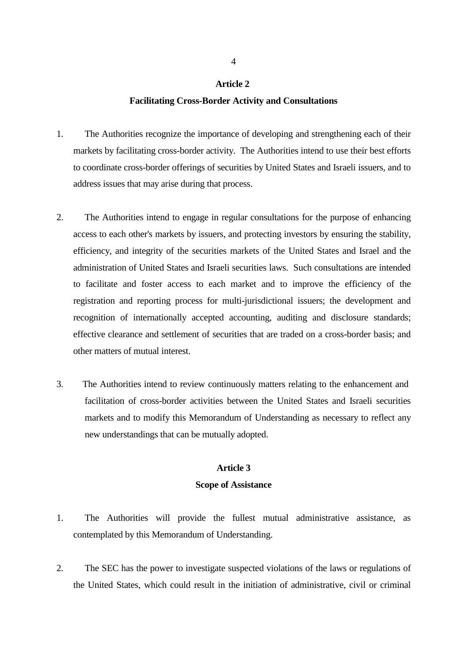#### **Facilitating Cross-Border Activity and Consultations**

- 1. The Authorities recognize the importance of developing and strengthening each of their markets by facilitating cross-border activity. The Authorities intend to use their best efforts to coordinate cross-border offerings of securities by United States and Israeli issuers, and to address issues that may arise during that process.
- 2. The Authorities intend to engage in regular consultations for the purpose of enhancing access to each other's markets by issuers, and protecting investors by ensuring the stability, efficiency, and integrity of the securities markets of the United States and Israel and the administration of United States and Israeli securities laws. Such consultations are intended to facilitate and foster access to each market and to improve the efficiency of the registration and reporting process for multi-jurisdictional issuers; the development and recognition of internationally accepted accounting, auditing and disclosure standards; effective clearance and settlement of securities that are traded on a cross-border basis; and other matters of mutual interest.
- 3. The Authorities intend to review continuously matters relating to the enhancement and facilitation of cross-border activities between the United States and Israeli securities markets and to modify this Memorandum of Understanding as necessary to reflect any new understandings that can be mutually adopted.

#### **Article 3**

#### **Scope of Assistance**

- 1. The Authorities will provide the fullest mutual administrative assistance, as contemplated by this Memorandum of Understanding.
- 2. The SEC has the power to investigate suspected violations of the laws or regulations of the United States, which could result in the initiation of administrative, civil or criminal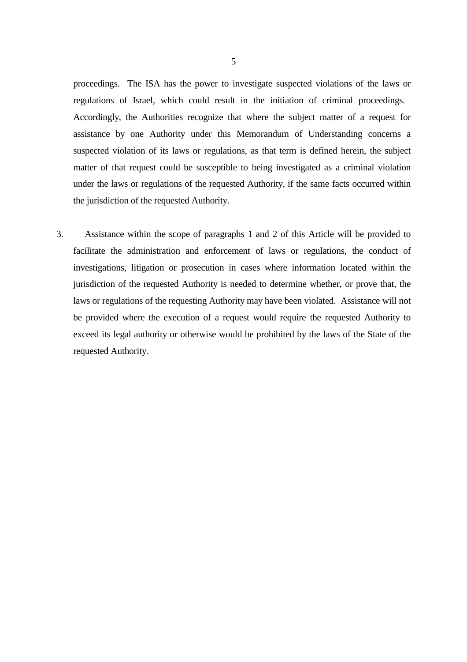proceedings. The ISA has the power to investigate suspected violations of the laws or regulations of Israel, which could result in the initiation of criminal proceedings. Accordingly, the Authorities recognize that where the subject matter of a request for assistance by one Authority under this Memorandum of Understanding concerns a suspected violation of its laws or regulations, as that term is defined herein, the subject matter of that request could be susceptible to being investigated as a criminal violation under the laws or regulations of the requested Authority, if the same facts occurred within the jurisdiction of the requested Authority.

3. Assistance within the scope of paragraphs 1 and 2 of this Article will be provided to facilitate the administration and enforcement of laws or regulations, the conduct of investigations, litigation or prosecution in cases where information located within the jurisdiction of the requested Authority is needed to determine whether, or prove that, the laws or regulations of the requesting Authority may have been violated. Assistance will not be provided where the execution of a request would require the requested Authority to exceed its legal authority or otherwise would be prohibited by the laws of the State of the requested Authority.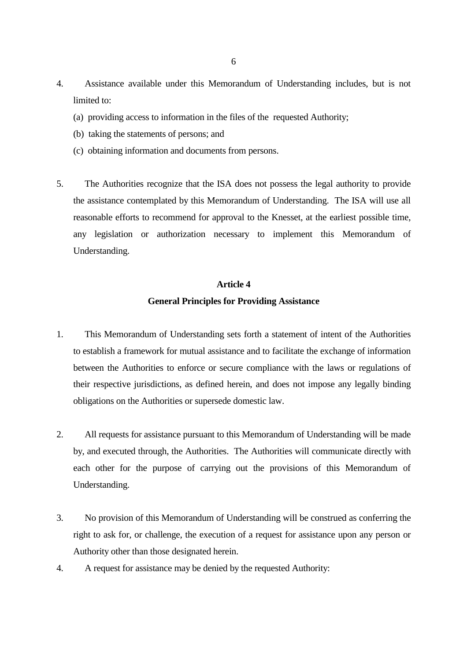- 4. Assistance available under this Memorandum of Understanding includes, but is not limited to:
	- (a) providing access to information in the files of the requested Authority;
	- (b) taking the statements of persons; and
	- (c) obtaining information and documents from persons.
- 5. The Authorities recognize that the ISA does not possess the legal authority to provide the assistance contemplated by this Memorandum of Understanding. The ISA will use all reasonable efforts to recommend for approval to the Knesset, at the earliest possible time, any legislation or authorization necessary to implement this Memorandum of Understanding.

## **General Principles for Providing Assistance**

- 1. This Memorandum of Understanding sets forth a statement of intent of the Authorities to establish a framework for mutual assistance and to facilitate the exchange of information between the Authorities to enforce or secure compliance with the laws or regulations of their respective jurisdictions, as defined herein, and does not impose any legally binding obligations on the Authorities or supersede domestic law.
- 2. All requests for assistance pursuant to this Memorandum of Understanding will be made by, and executed through, the Authorities. The Authorities will communicate directly with each other for the purpose of carrying out the provisions of this Memorandum of Understanding.
- 3. No provision of this Memorandum of Understanding will be construed as conferring the right to ask for, or challenge, the execution of a request for assistance upon any person or Authority other than those designated herein.
- 4. A request for assistance may be denied by the requested Authority: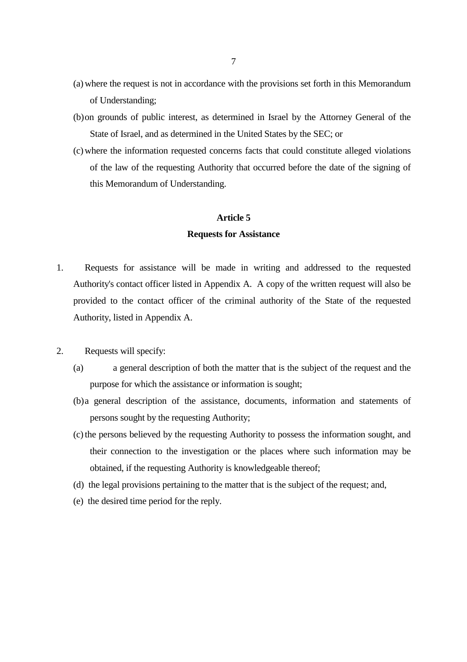- (a) where the request is not in accordance with the provisions set forth in this Memorandum of Understanding;
- (b)on grounds of public interest, as determined in Israel by the Attorney General of the State of Israel, and as determined in the United States by the SEC; or
- (c) where the information requested concerns facts that could constitute alleged violations of the law of the requesting Authority that occurred before the date of the signing of this Memorandum of Understanding.

#### **Requests for Assistance**

- 1. Requests for assistance will be made in writing and addressed to the requested Authority's contact officer listed in Appendix A. A copy of the written request will also be provided to the contact officer of the criminal authority of the State of the requested Authority, listed in Appendix A.
- 2. Requests will specify:
	- (a) a general description of both the matter that is the subject of the request and the purpose for which the assistance or information is sought;
	- (b)a general description of the assistance, documents, information and statements of persons sought by the requesting Authority;
	- (c) the persons believed by the requesting Authority to possess the information sought, and their connection to the investigation or the places where such information may be obtained, if the requesting Authority is knowledgeable thereof;
	- (d) the legal provisions pertaining to the matter that is the subject of the request; and,
	- (e) the desired time period for the reply.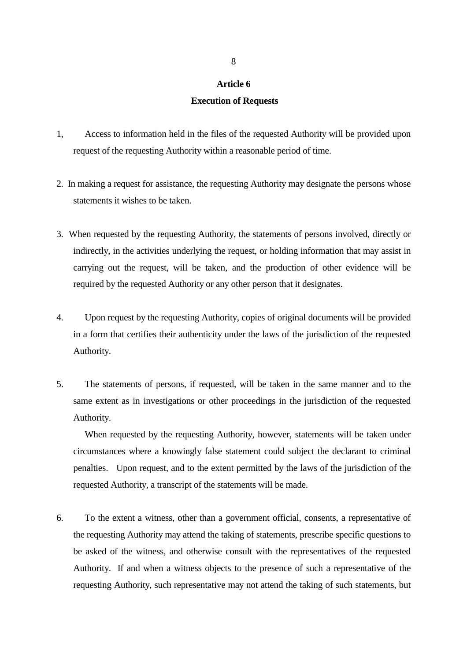#### **Execution of Requests**

- 1, Access to information held in the files of the requested Authority will be provided upon request of the requesting Authority within a reasonable period of time.
- 2. In making a request for assistance, the requesting Authority may designate the persons whose statements it wishes to be taken.
- 3. When requested by the requesting Authority, the statements of persons involved, directly or indirectly, in the activities underlying the request, or holding information that may assist in carrying out the request, will be taken, and the production of other evidence will be required by the requested Authority or any other person that it designates.
- 4. Upon request by the requesting Authority, copies of original documents will be provided in a form that certifies their authenticity under the laws of the jurisdiction of the requested Authority.
- 5. The statements of persons, if requested, will be taken in the same manner and to the same extent as in investigations or other proceedings in the jurisdiction of the requested Authority.

When requested by the requesting Authority, however, statements will be taken under circumstances where a knowingly false statement could subject the declarant to criminal penalties. Upon request, and to the extent permitted by the laws of the jurisdiction of the requested Authority, a transcript of the statements will be made.

6. To the extent a witness, other than a government official, consents, a representative of the requesting Authority may attend the taking of statements, prescribe specific questions to be asked of the witness, and otherwise consult with the representatives of the requested Authority. If and when a witness objects to the presence of such a representative of the requesting Authority, such representative may not attend the taking of such statements, but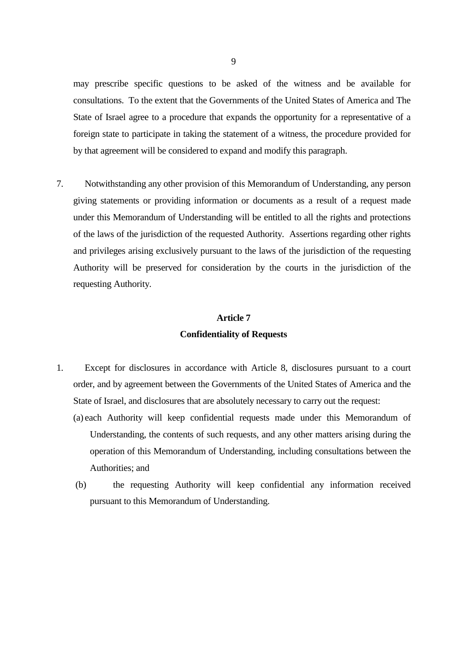may prescribe specific questions to be asked of the witness and be available for consultations. To the extent that the Governments of the United States of America and The State of Israel agree to a procedure that expands the opportunity for a representative of a foreign state to participate in taking the statement of a witness, the procedure provided for by that agreement will be considered to expand and modify this paragraph.

7. Notwithstanding any other provision of this Memorandum of Understanding, any person giving statements or providing information or documents as a result of a request made under this Memorandum of Understanding will be entitled to all the rights and protections of the laws of the jurisdiction of the requested Authority. Assertions regarding other rights and privileges arising exclusively pursuant to the laws of the jurisdiction of the requesting Authority will be preserved for consideration by the courts in the jurisdiction of the requesting Authority.

#### **Article 7**

### **Confidentiality of Requests**

- 1. Except for disclosures in accordance with Article 8, disclosures pursuant to a court order, and by agreement between the Governments of the United States of America and the State of Israel, and disclosures that are absolutely necessary to carry out the request:
	- (a) each Authority will keep confidential requests made under this Memorandum of Understanding, the contents of such requests, and any other matters arising during the operation of this Memorandum of Understanding, including consultations between the Authorities; and
	- (b) the requesting Authority will keep confidential any information received pursuant to this Memorandum of Understanding.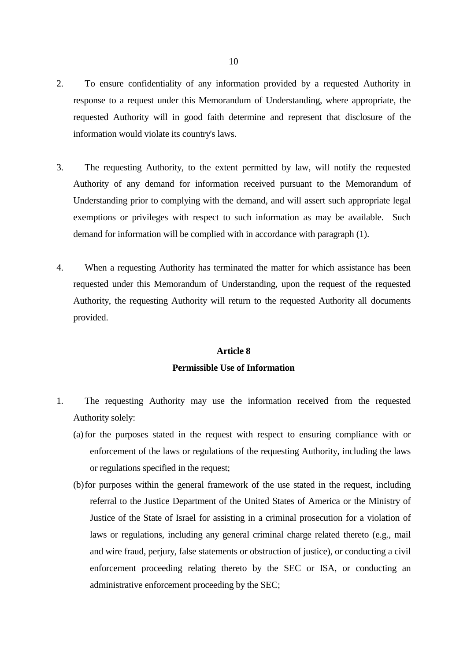- 2. To ensure confidentiality of any information provided by a requested Authority in response to a request under this Memorandum of Understanding, where appropriate, the requested Authority will in good faith determine and represent that disclosure of the information would violate its country's laws.
- 3. The requesting Authority, to the extent permitted by law, will notify the requested Authority of any demand for information received pursuant to the Memorandum of Understanding prior to complying with the demand, and will assert such appropriate legal exemptions or privileges with respect to such information as may be available. Such demand for information will be complied with in accordance with paragraph (1).
- 4. When a requesting Authority has terminated the matter for which assistance has been requested under this Memorandum of Understanding, upon the request of the requested Authority, the requesting Authority will return to the requested Authority all documents provided.

## **Article 8 Permissible Use of Information**

- 1. The requesting Authority may use the information received from the requested Authority solely:
	- (a) for the purposes stated in the request with respect to ensuring compliance with or enforcement of the laws or regulations of the requesting Authority, including the laws or regulations specified in the request;
	- (b)for purposes within the general framework of the use stated in the request, including referral to the Justice Department of the United States of America or the Ministry of Justice of the State of Israel for assisting in a criminal prosecution for a violation of laws or regulations, including any general criminal charge related thereto (e.g., mail and wire fraud, perjury, false statements or obstruction of justice), or conducting a civil enforcement proceeding relating thereto by the SEC or ISA, or conducting an administrative enforcement proceeding by the SEC;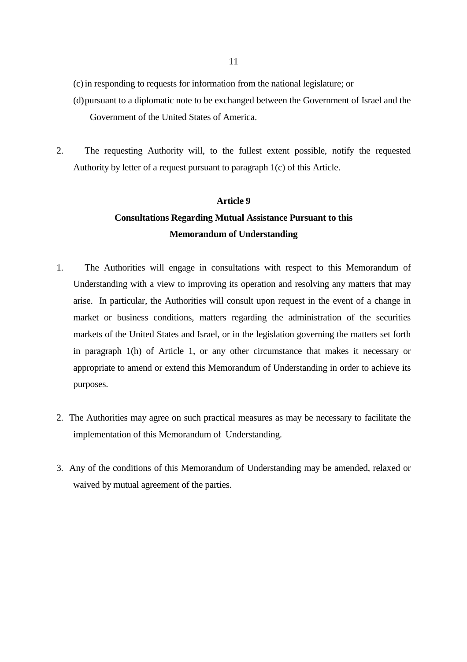(c) in responding to requests for information from the national legislature; or

- (d)pursuant to a diplomatic note to be exchanged between the Government of Israel and the Government of the United States of America.
- 2. The requesting Authority will, to the fullest extent possible, notify the requested Authority by letter of a request pursuant to paragraph 1(c) of this Article.

# **Article 9 Consultations Regarding Mutual Assistance Pursuant to this Memorandum of Understanding**

- 1. The Authorities will engage in consultations with respect to this Memorandum of Understanding with a view to improving its operation and resolving any matters that may arise. In particular, the Authorities will consult upon request in the event of a change in market or business conditions, matters regarding the administration of the securities markets of the United States and Israel, or in the legislation governing the matters set forth in paragraph 1(h) of Article 1, or any other circumstance that makes it necessary or appropriate to amend or extend this Memorandum of Understanding in order to achieve its purposes.
- 2. The Authorities may agree on such practical measures as may be necessary to facilitate the implementation of this Memorandum of Understanding.
- 3. Any of the conditions of this Memorandum of Understanding may be amended, relaxed or waived by mutual agreement of the parties.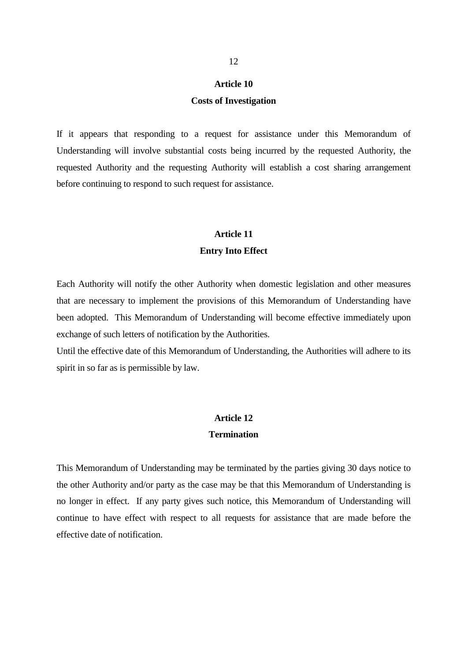#### **Costs of Investigation**

If it appears that responding to a request for assistance under this Memorandum of Understanding will involve substantial costs being incurred by the requested Authority, the requested Authority and the requesting Authority will establish a cost sharing arrangement before continuing to respond to such request for assistance.

## **Article 11 Entry Into Effect**

Each Authority will notify the other Authority when domestic legislation and other measures that are necessary to implement the provisions of this Memorandum of Understanding have been adopted. This Memorandum of Understanding will become effective immediately upon exchange of such letters of notification by the Authorities.

Until the effective date of this Memorandum of Understanding, the Authorities will adhere to its spirit in so far as is permissible by law.

#### **Article 12**

#### **Termination**

This Memorandum of Understanding may be terminated by the parties giving 30 days notice to the other Authority and/or party as the case may be that this Memorandum of Understanding is no longer in effect. If any party gives such notice, this Memorandum of Understanding will continue to have effect with respect to all requests for assistance that are made before the effective date of notification.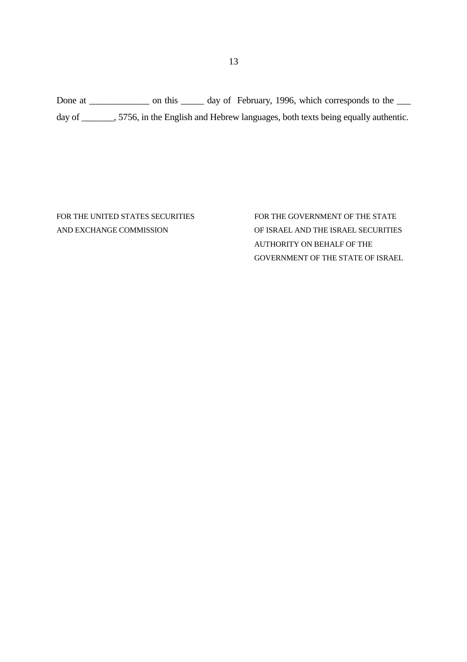Done at \_\_\_\_\_\_\_\_\_\_\_\_\_\_ on this \_\_\_\_\_\_ day of February, 1996, which corresponds to the \_\_\_\_ day of \_\_\_\_\_\_, 5756, in the English and Hebrew languages, both texts being equally authentic.

FOR THE UNITED STATES SECURITIES FOR THE GOVERNMENT OF THE STATE AND EXCHANGE COMMISSION OF ISRAEL AND THE ISRAEL SECURITIES AUTHORITY ON BEHALF OF THE GOVERNMENT OF THE STATE OF ISRAEL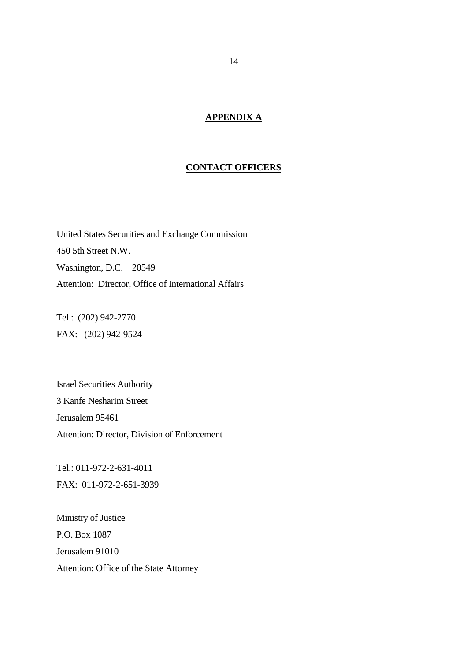### **APPENDIX A**

#### **CONTACT OFFICERS**

United States Securities and Exchange Commission 450 5th Street N.W. Washington, D.C. 20549 Attention: Director, Office of International Affairs

Tel.: (202) 942-2770 FAX: (202) 942-9524

Israel Securities Authority 3 Kanfe Nesharim Street Jerusalem 95461 Attention: Director, Division of Enforcement

Tel.: 011-972-2-631-4011 FAX: 011-972-2-651-3939

Ministry of Justice P.O. Box 1087 Jerusalem 91010 Attention: Office of the State Attorney